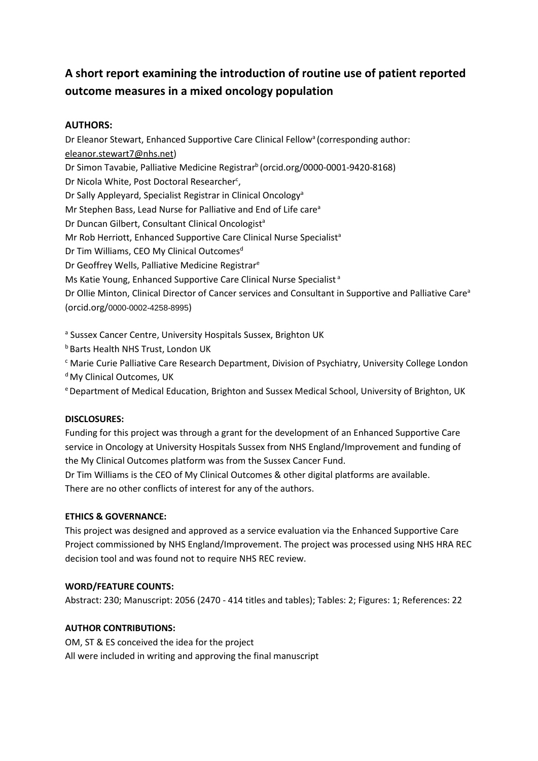# **A short report examining the introduction of routine use of patient reported outcome measures in a mixed oncology population**

## **AUTHORS:**

Dr Eleanor Stewart, Enhanced Supportive Care Clinical Fellow<sup>a</sup> (corresponding author: eleanor.stewart7@nhs.net) Dr Simon Tavabie, Palliative Medicine Registrar<sup>b</sup> (orcid.org/0000-0001-9420-8168) Dr Nicola White, Post Doctoral Researcher<sup>c</sup>, Dr Sally Appleyard, Specialist Registrar in Clinical Oncology<sup>a</sup> Mr Stephen Bass, Lead Nurse for Palliative and End of Life care<sup>a</sup> Dr Duncan Gilbert, Consultant Clinical Oncologist<sup>a</sup> Mr Rob Herriott, Enhanced Supportive Care Clinical Nurse Specialist<sup>a</sup> Dr Tim Williams, CEO My Clinical Outcomes<sup>d</sup> Dr Geoffrey Wells, Palliative Medicine Registrar<sup>e</sup> Ms Katie Young, Enhanced Supportive Care Clinical Nurse Specialist<sup>a</sup> Dr Ollie Minton, Clinical Director of Cancer services and Consultant in Supportive and Palliative Care<sup>a</sup> (orcid.org/0000-0002-4258-8995)

<sup>a</sup> Sussex Cancer Centre, University Hospitals Sussex, Brighton UK

- **b** Barts Health NHS Trust, London UK
- <sup>c</sup> Marie Curie Palliative Care Research Department, Division of Psychiatry, University College London

<sup>d</sup> My Clinical Outcomes, UK

e Department of Medical Education, Brighton and Sussex Medical School, University of Brighton, UK

## **DISCLOSURES:**

Funding for this project was through a grant for the development of an Enhanced Supportive Care service in Oncology at University Hospitals Sussex from NHS England/Improvement and funding of the My Clinical Outcomes platform was from the Sussex Cancer Fund.

Dr Tim Williams is the CEO of My Clinical Outcomes & other digital platforms are available. There are no other conflicts of interest for any of the authors.

## **ETHICS & GOVERNANCE:**

This project was designed and approved as a service evaluation via the Enhanced Supportive Care Project commissioned by NHS England/Improvement. The project was processed using NHS HRA REC decision tool and was found not to require NHS REC review.

## **WORD/FEATURE COUNTS:**

Abstract: 230; Manuscript: 2056 (2470 - 414 titles and tables); Tables: 2; Figures: 1; References: 22

## **AUTHOR CONTRIBUTIONS:**

OM, ST & ES conceived the idea for the project All were included in writing and approving the final manuscript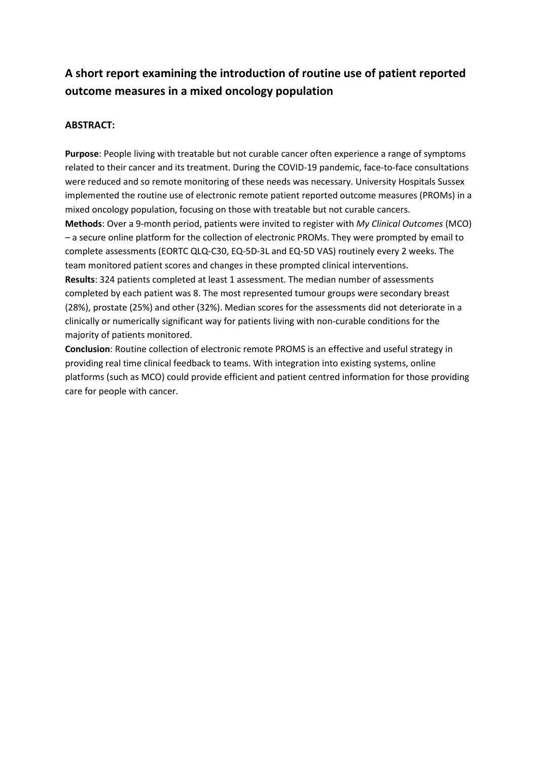# **A short report examining the introduction of routine use of patient reported outcome measures in a mixed oncology population**

## **ABSTRACT:**

**Purpose**: People living with treatable but not curable cancer often experience a range of symptoms related to their cancer and its treatment. During the COVID-19 pandemic, face-to-face consultations were reduced and so remote monitoring of these needs was necessary. University Hospitals Sussex implemented the routine use of electronic remote patient reported outcome measures (PROMs) in a mixed oncology population, focusing on those with treatable but not curable cancers. **Methods**: Over a 9-month period, patients were invited to register with *My Clinical Outcomes* (MCO) – a secure online platform for the collection of electronic PROMs. They were prompted by email to complete assessments (EORTC QLQ-C30, EQ-5D-3L and EQ-5D VAS) routinely every 2 weeks. The team monitored patient scores and changes in these prompted clinical interventions. **Results**: 324 patients completed at least 1 assessment. The median number of assessments completed by each patient was 8. The most represented tumour groups were secondary breast (28%), prostate (25%) and other (32%). Median scores for the assessments did not deteriorate in a clinically or numerically significant way for patients living with non-curable conditions for the majority of patients monitored.

**Conclusion**: Routine collection of electronic remote PROMS is an effective and useful strategy in providing real time clinical feedback to teams. With integration into existing systems, online platforms (such as MCO) could provide efficient and patient centred information for those providing care for people with cancer.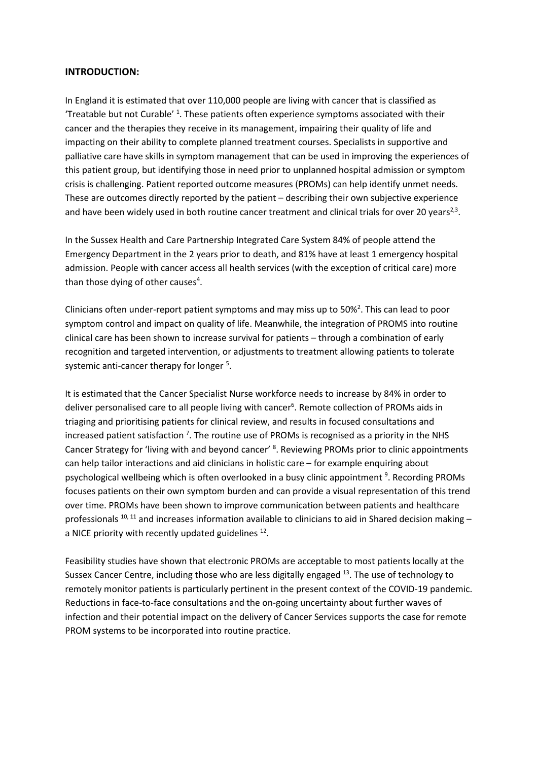#### **INTRODUCTION:**

In England it is estimated that over 110,000 people are living with cancer that is classified as Treatable but not Curable'<sup>1</sup>. These patients often experience symptoms associated with their cancer and the therapies they receive in its management, impairing their quality of life and impacting on their ability to complete planned treatment courses. Specialists in supportive and palliative care have skills in symptom management that can be used in improving the experiences of this patient group, but identifying those in need prior to unplanned hospital admission or symptom crisis is challenging. Patient reported outcome measures (PROMs) can help identify unmet needs. These are outcomes directly reported by the patient – describing their own subjective experience and have been widely used in both routine cancer treatment and clinical trials for over 20 years<sup>2,3</sup>.

In the Sussex Health and Care Partnership Integrated Care System 84% of people attend the Emergency Department in the 2 years prior to death, and 81% have at least 1 emergency hospital admission. People with cancer access all health services (with the exception of critical care) more than those dying of other causes<sup>4</sup>.

Clinicians often under-report patient symptoms and may miss up to  $50\%^2$ . This can lead to poor symptom control and impact on quality of life. Meanwhile, the integration of PROMS into routine clinical care has been shown to increase survival for patients – through a combination of early recognition and targeted intervention, or adjustments to treatment allowing patients to tolerate systemic anti-cancer therapy for longer<sup>5</sup>.

It is estimated that the Cancer Specialist Nurse workforce needs to increase by 84% in order to deliver personalised care to all people living with cancer<sup>6</sup>. Remote collection of PROMs aids in triaging and prioritising patients for clinical review, and results in focused consultations and increased patient satisfaction<sup>7</sup>. The routine use of PROMs is recognised as a priority in the NHS Cancer Strategy for 'living with and beyond cancer' <sup>8</sup>. Reviewing PROMs prior to clinic appointments can help tailor interactions and aid clinicians in holistic care – for example enquiring about psychological wellbeing which is often overlooked in a busy clinic appointment<sup>9</sup>. Recording PROMs focuses patients on their own symptom burden and can provide a visual representation of this trend over time. PROMs have been shown to improve communication between patients and healthcare professionals  $^{10, 11}$  and increases information available to clinicians to aid in Shared decision making – a NICE priority with recently updated guidelines  $^{12}$ .

Feasibility studies have shown that electronic PROMs are acceptable to most patients locally at the Sussex Cancer Centre, including those who are less digitally engaged <sup>13</sup>. The use of technology to remotely monitor patients is particularly pertinent in the present context of the COVID-19 pandemic. Reductions in face-to-face consultations and the on-going uncertainty about further waves of infection and their potential impact on the delivery of Cancer Services supports the case for remote PROM systems to be incorporated into routine practice.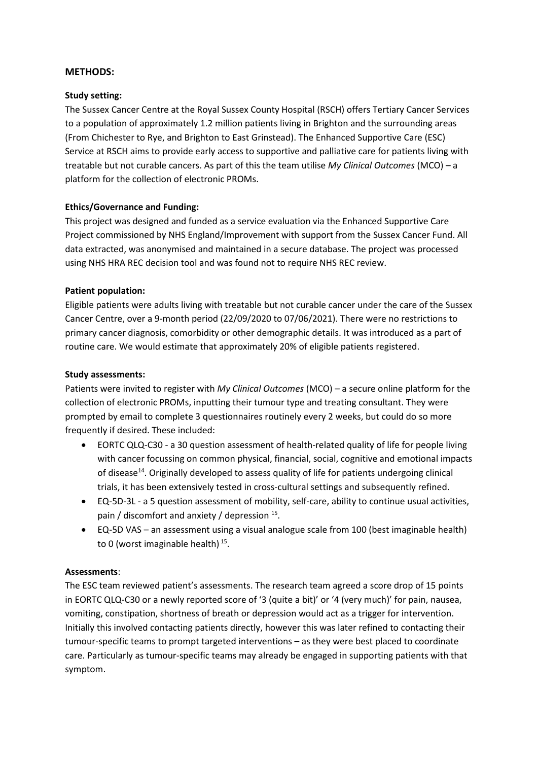#### **METHODS:**

#### **Study setting:**

The Sussex Cancer Centre at the Royal Sussex County Hospital (RSCH) offers Tertiary Cancer Services to a population of approximately 1.2 million patients living in Brighton and the surrounding areas (From Chichester to Rye, and Brighton to East Grinstead). The Enhanced Supportive Care (ESC) Service at RSCH aims to provide early access to supportive and palliative care for patients living with treatable but not curable cancers. As part of this the team utilise *My Clinical Outcomes* (MCO) – a platform for the collection of electronic PROMs.

#### **Ethics/Governance and Funding:**

This project was designed and funded as a service evaluation via the Enhanced Supportive Care Project commissioned by NHS England/Improvement with support from the Sussex Cancer Fund. All data extracted, was anonymised and maintained in a secure database. The project was processed using NHS HRA REC decision tool and was found not to require NHS REC review.

#### **Patient population:**

Eligible patients were adults living with treatable but not curable cancer under the care of the Sussex Cancer Centre, over a 9-month period (22/09/2020 to 07/06/2021). There were no restrictions to primary cancer diagnosis, comorbidity or other demographic details. It was introduced as a part of routine care. We would estimate that approximately 20% of eligible patients registered.

#### **Study assessments:**

Patients were invited to register with *My Clinical Outcomes* (MCO) – a secure online platform for the collection of electronic PROMs, inputting their tumour type and treating consultant. They were prompted by email to complete 3 questionnaires routinely every 2 weeks, but could do so more frequently if desired. These included:

- EORTC QLQ-C30 a 30 question assessment of health-related quality of life for people living with cancer focussing on common physical, financial, social, cognitive and emotional impacts of disease<sup>14</sup>. Originally developed to assess quality of life for patients undergoing clinical trials, it has been extensively tested in cross-cultural settings and subsequently refined.
- EQ-5D-3L a 5 question assessment of mobility, self-care, ability to continue usual activities, pain / discomfort and anxiety / depression <sup>15</sup>.
- EQ-5D VAS an assessment using a visual analogue scale from 100 (best imaginable health) to 0 (worst imaginable health)<sup>15</sup>.

#### **Assessments**:

The ESC team reviewed patient's assessments. The research team agreed a score drop of 15 points in EORTC QLQ-C30 or a newly reported score of '3 (quite a bit)' or '4 (very much)' for pain, nausea, vomiting, constipation, shortness of breath or depression would act as a trigger for intervention. Initially this involved contacting patients directly, however this was later refined to contacting their tumour-specific teams to prompt targeted interventions – as they were best placed to coordinate care. Particularly as tumour-specific teams may already be engaged in supporting patients with that symptom.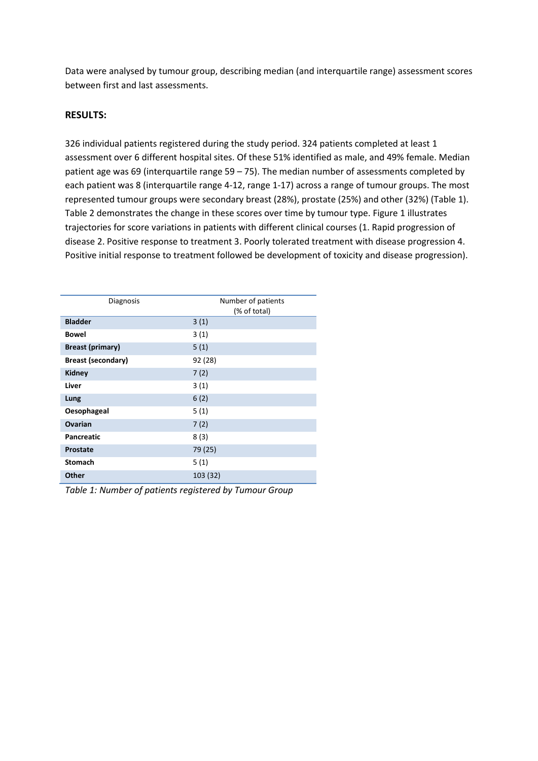Data were analysed by tumour group, describing median (and interquartile range) assessment scores between first and last assessments.

#### **RESULTS:**

326 individual patients registered during the study period. 324 patients completed at least 1 assessment over 6 different hospital sites. Of these 51% identified as male, and 49% female. Median patient age was 69 (interquartile range 59 – 75). The median number of assessments completed by each patient was 8 (interquartile range 4-12, range 1-17) across a range of tumour groups. The most represented tumour groups were secondary breast (28%), prostate (25%) and other (32%) (Table 1). Table 2 demonstrates the change in these scores over time by tumour type. Figure 1 illustrates trajectories for score variations in patients with different clinical courses (1. Rapid progression of disease 2. Positive response to treatment 3. Poorly tolerated treatment with disease progression 4. Positive initial response to treatment followed be development of toxicity and disease progression).

| Diagnosis                 | Number of patients<br>(% of total) |  |  |  |  |
|---------------------------|------------------------------------|--|--|--|--|
| <b>Bladder</b>            | 3(1)                               |  |  |  |  |
| <b>Bowel</b>              | 3(1)                               |  |  |  |  |
| <b>Breast (primary)</b>   | 5(1)                               |  |  |  |  |
| <b>Breast (secondary)</b> | 92 (28)                            |  |  |  |  |
| <b>Kidney</b>             | 7(2)                               |  |  |  |  |
| Liver                     | 3(1)                               |  |  |  |  |
| Lung                      | 6(2)                               |  |  |  |  |
| Oesophageal               | 5(1)                               |  |  |  |  |
| <b>Ovarian</b>            | 7(2)                               |  |  |  |  |
| <b>Pancreatic</b>         | 8(3)                               |  |  |  |  |
| <b>Prostate</b>           | 79 (25)                            |  |  |  |  |
| <b>Stomach</b>            | 5(1)                               |  |  |  |  |
| <b>Other</b>              | 103 (32)                           |  |  |  |  |

*Table 1: Number of patients registered by Tumour Group*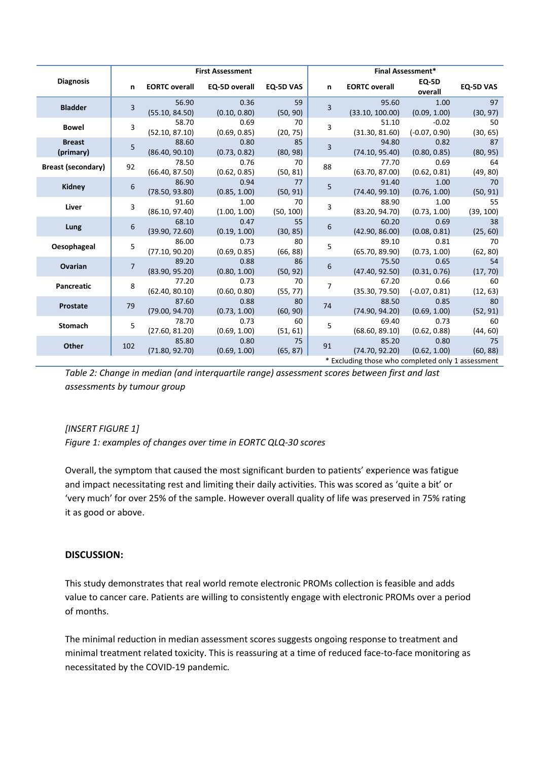|                                                   | <b>First Assessment</b> |                         |                      |                  | Final Assessment* |                          |                            |                 |  |
|---------------------------------------------------|-------------------------|-------------------------|----------------------|------------------|-------------------|--------------------------|----------------------------|-----------------|--|
| <b>Diagnosis</b>                                  | n                       | <b>EORTC overall</b>    | EQ-5D overall        | <b>EQ-5D VAS</b> | n.                | <b>EORTC overall</b>     | EQ-5D<br>overall           | EQ-5D VAS       |  |
| <b>Bladder</b>                                    | $\overline{3}$          | 56.90<br>(55.10, 84.50) | 0.36<br>(0.10, 0.80) | 59<br>(50, 90)   | 3                 | 95.60<br>(33.10, 100.00) | 1.00<br>(0.09, 1.00)       | 97<br>(30, 97)  |  |
| <b>Bowel</b>                                      | $\overline{3}$          | 58.70<br>(52.10, 87.10) | 0.69<br>(0.69, 0.85) | 70<br>(20, 75)   | 3                 | 51.10<br>(31.30, 81.60)  | $-0.02$<br>$(-0.07, 0.90)$ | 50<br>(30, 65)  |  |
| <b>Breast</b><br>(primary)                        | 5                       | 88.60<br>(86.40, 90.10) | 0.80<br>(0.73, 0.82) | 85<br>(80, 98)   | 3                 | 94.80<br>(74.10, 95.40)  | 0.82<br>(0.80, 0.85)       | 87<br>(80, 95)  |  |
| <b>Breast (secondary)</b>                         | 92                      | 78.50<br>(66.40, 87.50) | 0.76<br>(0.62, 0.85) | 70<br>(50, 81)   | 88                | 77.70<br>(63.70, 87.00)  | 0.69<br>(0.62, 0.81)       | 64<br>(49, 80)  |  |
| Kidney                                            | 6                       | 86.90<br>(78.50, 93.80) | 0.94<br>(0.85, 1.00) | 77<br>(50, 91)   | 5                 | 91.40<br>(74.40, 99.10)  | 1.00<br>(0.76, 1.00)       | 70<br>(50, 91)  |  |
| Liver                                             | 3                       | 91.60<br>(86.10, 97.40) | 1.00<br>(1.00, 1.00) | 70<br>(50, 100)  | 3                 | 88.90<br>(83.20, 94.70)  | 1.00<br>(0.73, 1.00)       | 55<br>(39, 100) |  |
| Lung                                              | 6                       | 68.10<br>(39.90, 72.60) | 0.47<br>(0.19, 1.00) | 55<br>(30, 85)   | 6                 | 60.20<br>(42.90, 86.00)  | 0.69<br>(0.08, 0.81)       | 38<br>(25, 60)  |  |
| Oesophageal                                       | 5                       | 86.00<br>(77.10, 90.20) | 0.73<br>(0.69, 0.85) | 80<br>(66, 88)   | 5                 | 89.10<br>(65.70, 89.90)  | 0.81<br>(0.73, 1.00)       | 70<br>(62, 80)  |  |
| Ovarian                                           | $\overline{7}$          | 89.20<br>(83.90, 95.20) | 0.88<br>(0.80, 1.00) | 86<br>(50, 92)   | 6                 | 75.50<br>(47.40, 92.50)  | 0.65<br>(0.31, 0.76)       | 54<br>(17, 70)  |  |
| Pancreatic                                        | 8                       | 77.20<br>(62.40, 80.10) | 0.73<br>(0.60, 0.80) | 70<br>(55, 77)   | $\overline{7}$    | 67.20<br>(35.30, 79.50)  | 0.66<br>$(-0.07, 0.81)$    | 60<br>(12, 63)  |  |
| Prostate                                          | 79                      | 87.60<br>(79.00, 94.70) | 0.88<br>(0.73, 1.00) | 80<br>(60, 90)   | 74                | 88.50<br>(74.90, 94.20)  | 0.85<br>(0.69, 1.00)       | 80<br>(52, 91)  |  |
| Stomach                                           | 5                       | 78.70<br>(27.60, 81.20) | 0.73<br>(0.69, 1.00) | 60<br>(51, 61)   | 5                 | 69.40<br>(68.60, 89.10)  | 0.73<br>(0.62, 0.88)       | 60<br>(44, 60)  |  |
| <b>Other</b>                                      | 102                     | 85.80<br>(71.80, 92.70) | 0.80<br>(0.69, 1.00) | 75<br>(65, 87)   | 91                | 85.20<br>(74.70, 92.20)  | 0.80<br>(0.62, 1.00)       | 75<br>(60, 88)  |  |
| * Excluding those who completed only 1 assessment |                         |                         |                      |                  |                   |                          |                            |                 |  |

*Table 2: Change in median (and interquartile range) assessment scores between first and last assessments by tumour group* 

## *[INSERT FIGURE 1]*

*Figure 1: examples of changes over time in EORTC QLQ-30 scores* 

Overall, the symptom that caused the most significant burden to patients' experience was fatigue and impact necessitating rest and limiting their daily activities. This was scored as 'quite a bit' or 'very much' for over 25% of the sample. However overall quality of life was preserved in 75% rating it as good or above.

#### **DISCUSSION:**

This study demonstrates that real world remote electronic PROMs collection is feasible and adds value to cancer care. Patients are willing to consistently engage with electronic PROMs over a period of months.

The minimal reduction in median assessment scores suggests ongoing response to treatment and minimal treatment related toxicity. This is reassuring at a time of reduced face-to-face monitoring as necessitated by the COVID-19 pandemic*.*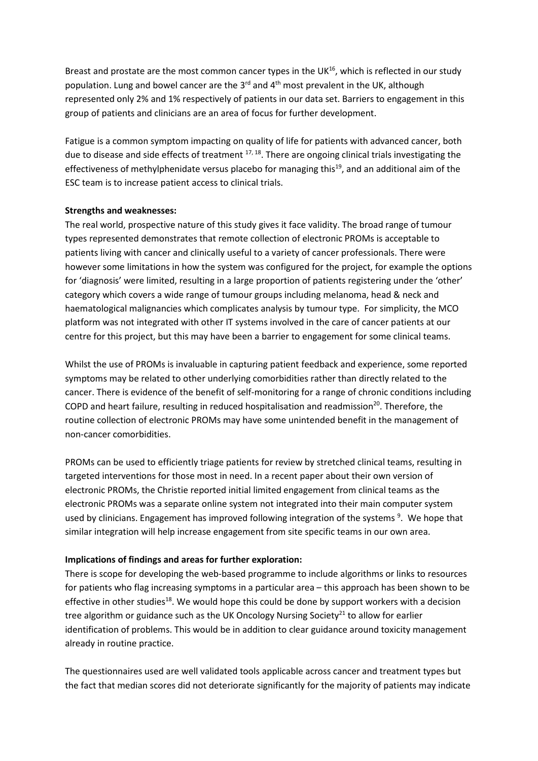Breast and prostate are the most common cancer types in the UK $^{16}$ , which is reflected in our study population. Lung and bowel cancer are the 3<sup>rd</sup> and 4<sup>th</sup> most prevalent in the UK, although represented only 2% and 1% respectively of patients in our data set. Barriers to engagement in this group of patients and clinicians are an area of focus for further development.

Fatigue is a common symptom impacting on quality of life for patients with advanced cancer, both due to disease and side effects of treatment  $17, 18$ . There are ongoing clinical trials investigating the effectiveness of methylphenidate versus placebo for managing this<sup>19</sup>, and an additional aim of the ESC team is to increase patient access to clinical trials.

#### **Strengths and weaknesses:**

The real world, prospective nature of this study gives it face validity. The broad range of tumour types represented demonstrates that remote collection of electronic PROMs is acceptable to patients living with cancer and clinically useful to a variety of cancer professionals. There were however some limitations in how the system was configured for the project, for example the options for 'diagnosis' were limited, resulting in a large proportion of patients registering under the 'other' category which covers a wide range of tumour groups including melanoma, head & neck and haematological malignancies which complicates analysis by tumour type. For simplicity, the MCO platform was not integrated with other IT systems involved in the care of cancer patients at our centre for this project, but this may have been a barrier to engagement for some clinical teams.

Whilst the use of PROMs is invaluable in capturing patient feedback and experience, some reported symptoms may be related to other underlying comorbidities rather than directly related to the cancer. There is evidence of the benefit of self-monitoring for a range of chronic conditions including COPD and heart failure, resulting in reduced hospitalisation and readmission<sup>20</sup>. Therefore, the routine collection of electronic PROMs may have some unintended benefit in the management of non-cancer comorbidities.

PROMs can be used to efficiently triage patients for review by stretched clinical teams, resulting in targeted interventions for those most in need. In a recent paper about their own version of electronic PROMs, the Christie reported initial limited engagement from clinical teams as the electronic PROMs was a separate online system not integrated into their main computer system used by clinicians. Engagement has improved following integration of the systems<sup>9</sup>. We hope that similar integration will help increase engagement from site specific teams in our own area.

#### **Implications of findings and areas for further exploration:**

There is scope for developing the web-based programme to include algorithms or links to resources for patients who flag increasing symptoms in a particular area – this approach has been shown to be effective in other studies<sup>18</sup>. We would hope this could be done by support workers with a decision tree algorithm or guidance such as the UK Oncology Nursing Society<sup>21</sup> to allow for earlier identification of problems. This would be in addition to clear guidance around toxicity management already in routine practice.

The questionnaires used are well validated tools applicable across cancer and treatment types but the fact that median scores did not deteriorate significantly for the majority of patients may indicate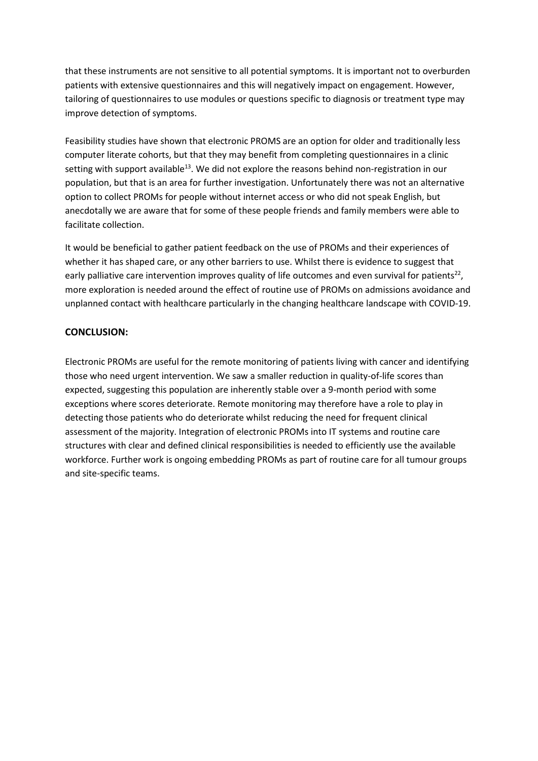that these instruments are not sensitive to all potential symptoms. It is important not to overburden patients with extensive questionnaires and this will negatively impact on engagement. However, tailoring of questionnaires to use modules or questions specific to diagnosis or treatment type may improve detection of symptoms.

Feasibility studies have shown that electronic PROMS are an option for older and traditionally less computer literate cohorts, but that they may benefit from completing questionnaires in a clinic setting with support available $13$ . We did not explore the reasons behind non-registration in our population, but that is an area for further investigation. Unfortunately there was not an alternative option to collect PROMs for people without internet access or who did not speak English, but anecdotally we are aware that for some of these people friends and family members were able to facilitate collection.

It would be beneficial to gather patient feedback on the use of PROMs and their experiences of whether it has shaped care, or any other barriers to use. Whilst there is evidence to suggest that early palliative care intervention improves quality of life outcomes and even survival for patients<sup>22</sup>, more exploration is needed around the effect of routine use of PROMs on admissions avoidance and unplanned contact with healthcare particularly in the changing healthcare landscape with COVID-19.

#### **CONCLUSION:**

Electronic PROMs are useful for the remote monitoring of patients living with cancer and identifying those who need urgent intervention. We saw a smaller reduction in quality-of-life scores than expected, suggesting this population are inherently stable over a 9-month period with some exceptions where scores deteriorate. Remote monitoring may therefore have a role to play in detecting those patients who do deteriorate whilst reducing the need for frequent clinical assessment of the majority. Integration of electronic PROMs into IT systems and routine care structures with clear and defined clinical responsibilities is needed to efficiently use the available workforce. Further work is ongoing embedding PROMs as part of routine care for all tumour groups and site-specific teams.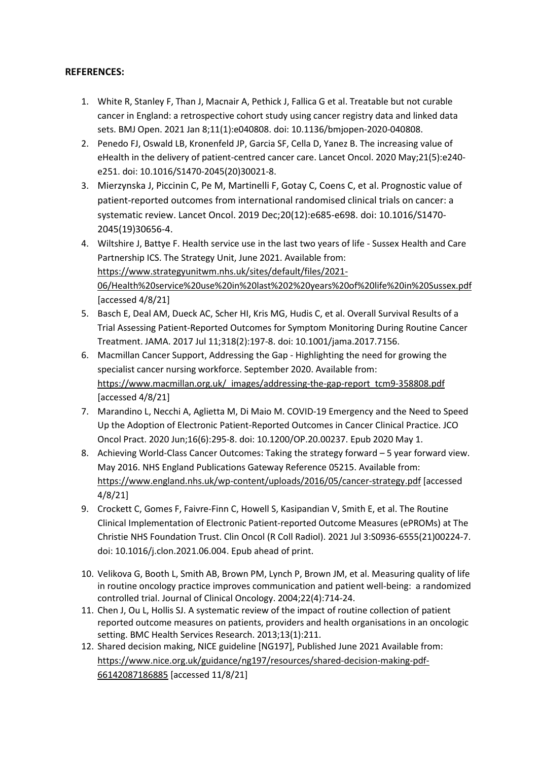## **REFERENCES:**

- 1. White R, Stanley F, Than J, Macnair A, Pethick J, Fallica G et al. Treatable but not curable cancer in England: a retrospective cohort study using cancer registry data and linked data sets. BMJ Open. 2021 Jan 8;11(1):e040808. doi: 10.1136/bmjopen-2020-040808.
- 2. Penedo FJ, Oswald LB, Kronenfeld JP, Garcia SF, Cella D, Yanez B. The increasing value of eHealth in the delivery of patient-centred cancer care. Lancet Oncol. 2020 May;21(5):e240 e251. doi: 10.1016/S1470-2045(20)30021-8.
- 3. Mierzynska J, Piccinin C, Pe M, Martinelli F, Gotay C, Coens C, et al. Prognostic value of patient-reported outcomes from international randomised clinical trials on cancer: a systematic review. Lancet Oncol. 2019 Dec;20(12):e685-e698. doi: 10.1016/S1470- 2045(19)30656-4.
- 4. Wiltshire J, Battye F. Health service use in the last two years of life Sussex Health and Care Partnership ICS. The Strategy Unit, June 2021. Available from: https://www.strategyunitwm.nhs.uk/sites/default/files/2021- 06/Health%20service%20use%20in%20last%202%20years%20of%20life%20in%20Sussex.pdf [accessed 4/8/21]
- 5. Basch E, Deal AM, Dueck AC, Scher HI, Kris MG, Hudis C, et al. Overall Survival Results of a Trial Assessing Patient-Reported Outcomes for Symptom Monitoring During Routine Cancer Treatment. JAMA. 2017 Jul 11;318(2):197-8. doi: 10.1001/jama.2017.7156.
- 6. Macmillan Cancer Support, Addressing the Gap Highlighting the need for growing the specialist cancer nursing workforce. September 2020. Available from: https://www.macmillan.org.uk/\_images/addressing-the-gap-report\_tcm9-358808.pdf [accessed 4/8/21]
- 7. Marandino L, Necchi A, Aglietta M, Di Maio M. COVID-19 Emergency and the Need to Speed Up the Adoption of Electronic Patient-Reported Outcomes in Cancer Clinical Practice. JCO Oncol Pract. 2020 Jun;16(6):295-8. doi: 10.1200/OP.20.00237. Epub 2020 May 1.
- 8. Achieving World-Class Cancer Outcomes: Taking the strategy forward 5 year forward view. May 2016. NHS England Publications Gateway Reference 05215. Available from: https://www.england.nhs.uk/wp-content/uploads/2016/05/cancer-strategy.pdf [accessed 4/8/21]
- 9. Crockett C, Gomes F, Faivre-Finn C, Howell S, Kasipandian V, Smith E, et al. The Routine Clinical Implementation of Electronic Patient-reported Outcome Measures (ePROMs) at The Christie NHS Foundation Trust. Clin Oncol (R Coll Radiol). 2021 Jul 3:S0936-6555(21)00224-7. doi: 10.1016/j.clon.2021.06.004. Epub ahead of print.
- 10. Velikova G, Booth L, Smith AB, Brown PM, Lynch P, Brown JM, et al. Measuring quality of life in routine oncology practice improves communication and patient well-being: a randomized controlled trial. Journal of Clinical Oncology. 2004;22(4):714-24.
- 11. Chen J, Ou L, Hollis SJ. A systematic review of the impact of routine collection of patient reported outcome measures on patients, providers and health organisations in an oncologic setting. BMC Health Services Research. 2013;13(1):211.
- 12. Shared decision making, NICE guideline [NG197], Published June 2021 Available from: https://www.nice.org.uk/guidance/ng197/resources/shared-decision-making-pdf-66142087186885 [accessed 11/8/21]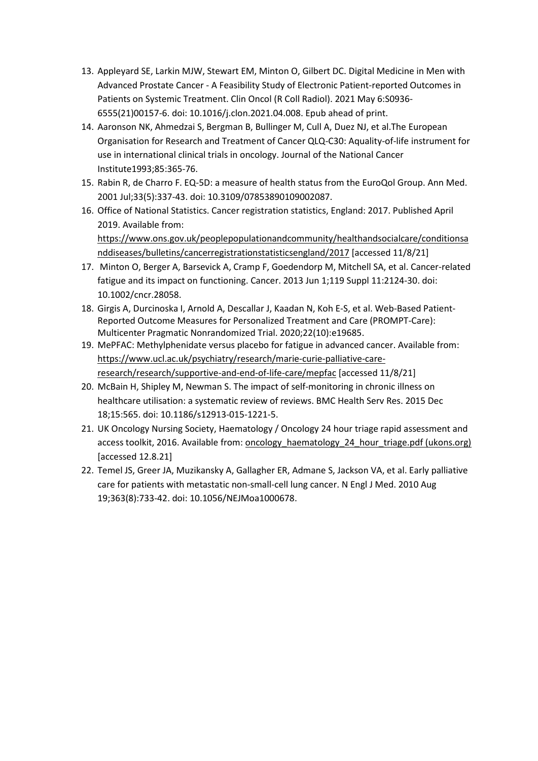- 13. Appleyard SE, Larkin MJW, Stewart EM, Minton O, Gilbert DC. Digital Medicine in Men with Advanced Prostate Cancer - A Feasibility Study of Electronic Patient-reported Outcomes in Patients on Systemic Treatment. Clin Oncol (R Coll Radiol). 2021 May 6:S0936- 6555(21)00157-6. doi: 10.1016/j.clon.2021.04.008. Epub ahead of print.
- 14. Aaronson NK, Ahmedzai S, Bergman B, Bullinger M, Cull A, Duez NJ, et al.The European Organisation for Research and Treatment of Cancer QLQ-C30: Aquality-of-life instrument for use in international clinical trials in oncology. Journal of the National Cancer Institute1993;85:365-76.
- 15. Rabin R, de Charro F. EQ-5D: a measure of health status from the EuroQol Group. Ann Med. 2001 Jul;33(5):337-43. doi: 10.3109/07853890109002087.
- 16. Office of National Statistics. Cancer registration statistics, England: 2017. Published April 2019. Available from: https://www.ons.gov.uk/peoplepopulationandcommunity/healthandsocialcare/conditionsa nddiseases/bulletins/cancerregistrationstatisticsengland/2017 [accessed 11/8/21]
- 17. Minton O, Berger A, Barsevick A, Cramp F, Goedendorp M, Mitchell SA, et al. Cancer-related fatigue and its impact on functioning. Cancer. 2013 Jun 1;119 Suppl 11:2124-30. doi: 10.1002/cncr.28058.
- 18. Girgis A, Durcinoska I, Arnold A, Descallar J, Kaadan N, Koh E-S, et al. Web-Based Patient-Reported Outcome Measures for Personalized Treatment and Care (PROMPT-Care): Multicenter Pragmatic Nonrandomized Trial. 2020;22(10):e19685.
- 19. MePFAC: Methylphenidate versus placebo for fatigue in advanced cancer. Available from: https://www.ucl.ac.uk/psychiatry/research/marie-curie-palliative-careresearch/research/supportive-and-end-of-life-care/mepfac [accessed 11/8/21]
- 20. McBain H, Shipley M, Newman S. The impact of self-monitoring in chronic illness on healthcare utilisation: a systematic review of reviews. BMC Health Serv Res. 2015 Dec 18;15:565. doi: 10.1186/s12913-015-1221-5.
- 21. UK Oncology Nursing Society, Haematology / Oncology 24 hour triage rapid assessment and access toolkit, 2016. Available from: oncology\_haematology\_24\_hour\_triage.pdf (ukons.org) [accessed 12.8.21]
- 22. Temel JS, Greer JA, Muzikansky A, Gallagher ER, Admane S, Jackson VA, et al. Early palliative care for patients with metastatic non-small-cell lung cancer. N Engl J Med. 2010 Aug 19;363(8):733-42. doi: 10.1056/NEJMoa1000678.